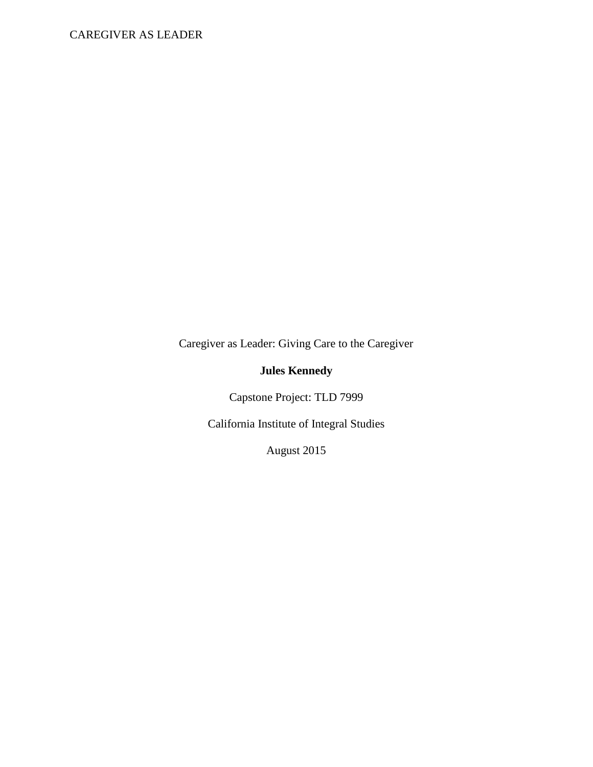# CAREGIVER AS LEADER

Caregiver as Leader: Giving Care to the Caregiver

# **Jules Kennedy**

Capstone Project: TLD 7999

California Institute of Integral Studies

August 2015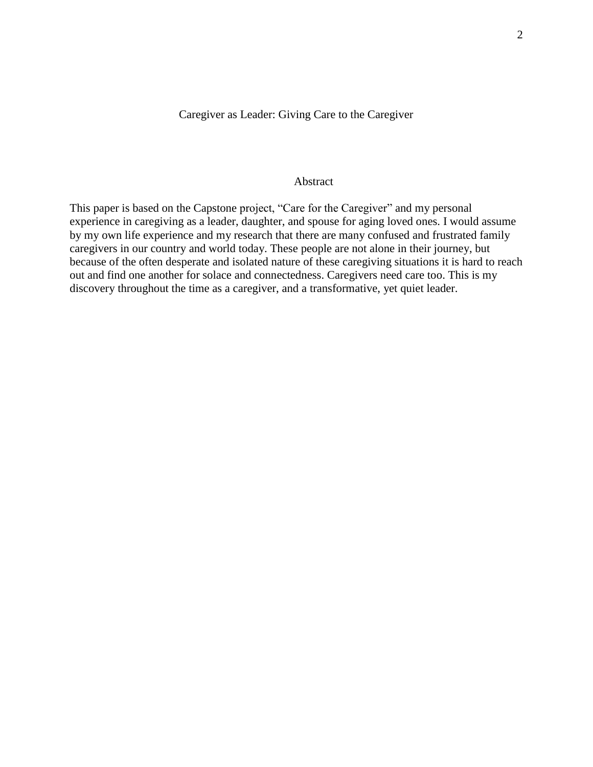# Caregiver as Leader: Giving Care to the Caregiver

### Abstract

This paper is based on the Capstone project, "Care for the Caregiver" and my personal experience in caregiving as a leader, daughter, and spouse for aging loved ones. I would assume by my own life experience and my research that there are many confused and frustrated family caregivers in our country and world today. These people are not alone in their journey, but because of the often desperate and isolated nature of these caregiving situations it is hard to reach out and find one another for solace and connectedness. Caregivers need care too. This is my discovery throughout the time as a caregiver, and a transformative, yet quiet leader.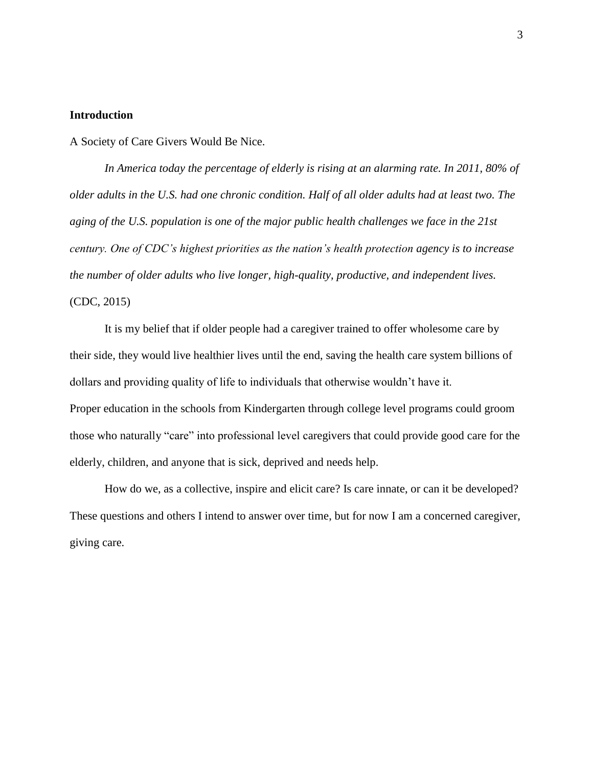### **Introduction**

A Society of Care Givers Would Be Nice.

*In America today the percentage of elderly is rising at an alarming rate. In 2011, 80% of older adults in the U.S. had one chronic condition. Half of all older adults had at least two. The aging of the U.S. population is one of the major public health challenges we face in the 21st century. One of CDC's highest priorities as the nation's health protection agency is to increase the number of older adults who live longer, high-quality, productive, and independent lives.*

# (CDC, 2015)

It is my belief that if older people had a caregiver trained to offer wholesome care by their side, they would live healthier lives until the end, saving the health care system billions of dollars and providing quality of life to individuals that otherwise wouldn't have it. Proper education in the schools from Kindergarten through college level programs could groom those who naturally "care" into professional level caregivers that could provide good care for the elderly, children, and anyone that is sick, deprived and needs help.

How do we, as a collective, inspire and elicit care? Is care innate, or can it be developed? These questions and others I intend to answer over time, but for now I am a concerned caregiver, giving care.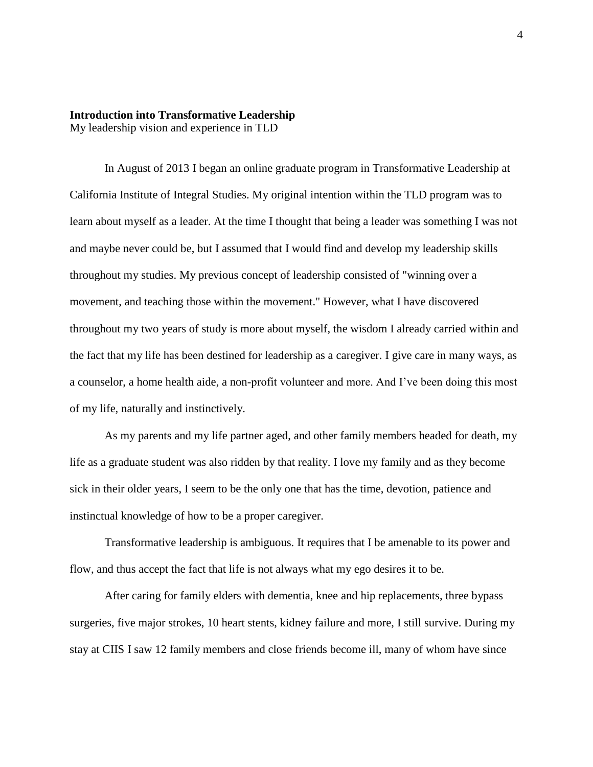# **Introduction into Transformative Leadership** My leadership vision and experience in TLD

In August of 2013 I began an online graduate program in Transformative Leadership at California Institute of Integral Studies. My original intention within the TLD program was to learn about myself as a leader. At the time I thought that being a leader was something I was not and maybe never could be, but I assumed that I would find and develop my leadership skills throughout my studies. My previous concept of leadership consisted of "winning over a movement, and teaching those within the movement." However, what I have discovered throughout my two years of study is more about myself, the wisdom I already carried within and the fact that my life has been destined for leadership as a caregiver. I give care in many ways, as a counselor, a home health aide, a non-profit volunteer and more. And I've been doing this most of my life, naturally and instinctively.

As my parents and my life partner aged, and other family members headed for death, my life as a graduate student was also ridden by that reality. I love my family and as they become sick in their older years, I seem to be the only one that has the time, devotion, patience and instinctual knowledge of how to be a proper caregiver.

Transformative leadership is ambiguous. It requires that I be amenable to its power and flow, and thus accept the fact that life is not always what my ego desires it to be.

After caring for family elders with dementia, knee and hip replacements, three bypass surgeries, five major strokes, 10 heart stents, kidney failure and more, I still survive. During my stay at CIIS I saw 12 family members and close friends become ill, many of whom have since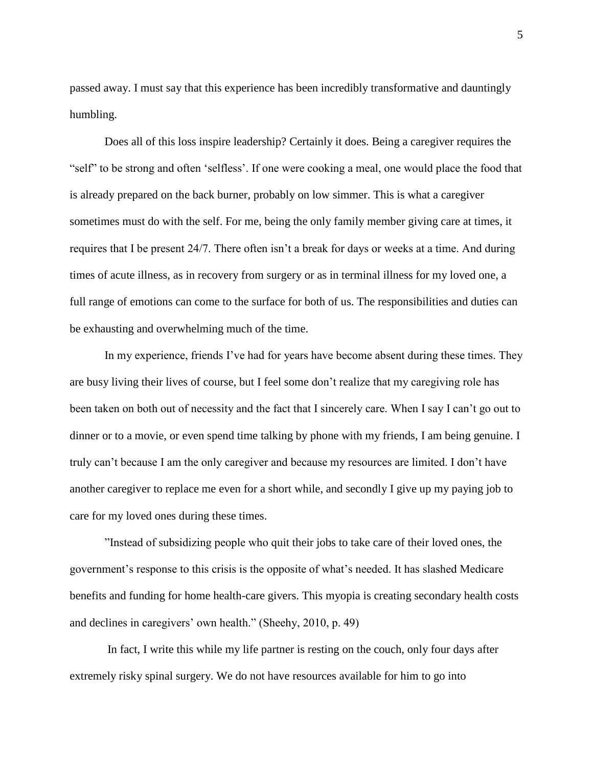passed away. I must say that this experience has been incredibly transformative and dauntingly humbling.

Does all of this loss inspire leadership? Certainly it does. Being a caregiver requires the "self" to be strong and often 'selfless'. If one were cooking a meal, one would place the food that is already prepared on the back burner, probably on low simmer. This is what a caregiver sometimes must do with the self. For me, being the only family member giving care at times, it requires that I be present 24/7. There often isn't a break for days or weeks at a time. And during times of acute illness, as in recovery from surgery or as in terminal illness for my loved one, a full range of emotions can come to the surface for both of us. The responsibilities and duties can be exhausting and overwhelming much of the time.

In my experience, friends I've had for years have become absent during these times. They are busy living their lives of course, but I feel some don't realize that my caregiving role has been taken on both out of necessity and the fact that I sincerely care. When I say I can't go out to dinner or to a movie, or even spend time talking by phone with my friends, I am being genuine. I truly can't because I am the only caregiver and because my resources are limited. I don't have another caregiver to replace me even for a short while, and secondly I give up my paying job to care for my loved ones during these times.

"Instead of subsidizing people who quit their jobs to take care of their loved ones, the government's response to this crisis is the opposite of what's needed. It has slashed Medicare benefits and funding for home health-care givers. This myopia is creating secondary health costs and declines in caregivers' own health." (Sheehy, 2010, p. 49)

In fact, I write this while my life partner is resting on the couch, only four days after extremely risky spinal surgery. We do not have resources available for him to go into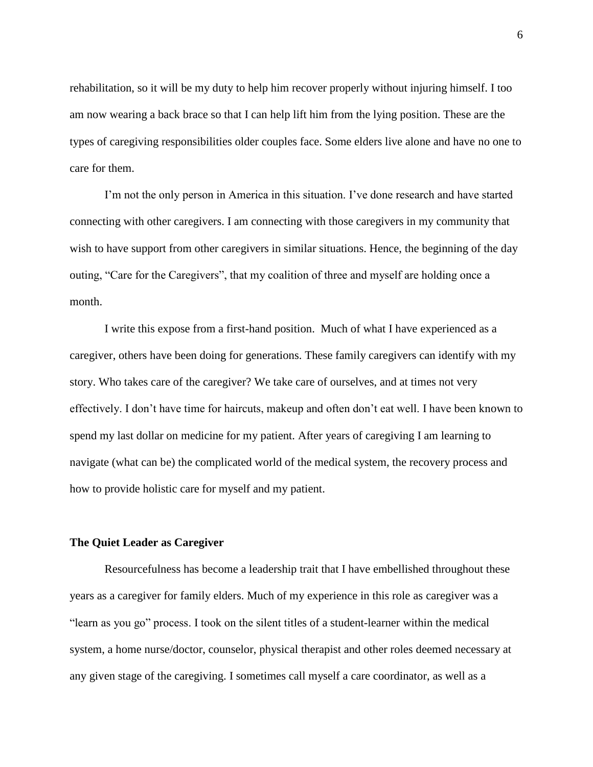rehabilitation, so it will be my duty to help him recover properly without injuring himself. I too am now wearing a back brace so that I can help lift him from the lying position. These are the types of caregiving responsibilities older couples face. Some elders live alone and have no one to care for them.

I'm not the only person in America in this situation. I've done research and have started connecting with other caregivers. I am connecting with those caregivers in my community that wish to have support from other caregivers in similar situations. Hence, the beginning of the day outing, "Care for the Caregivers", that my coalition of three and myself are holding once a month.

I write this expose from a first-hand position. Much of what I have experienced as a caregiver, others have been doing for generations. These family caregivers can identify with my story. Who takes care of the caregiver? We take care of ourselves, and at times not very effectively. I don't have time for haircuts, makeup and often don't eat well. I have been known to spend my last dollar on medicine for my patient. After years of caregiving I am learning to navigate (what can be) the complicated world of the medical system, the recovery process and how to provide holistic care for myself and my patient.

# **The Quiet Leader as Caregiver**

Resourcefulness has become a leadership trait that I have embellished throughout these years as a caregiver for family elders. Much of my experience in this role as caregiver was a "learn as you go" process. I took on the silent titles of a student-learner within the medical system, a home nurse/doctor, counselor, physical therapist and other roles deemed necessary at any given stage of the caregiving. I sometimes call myself a care coordinator, as well as a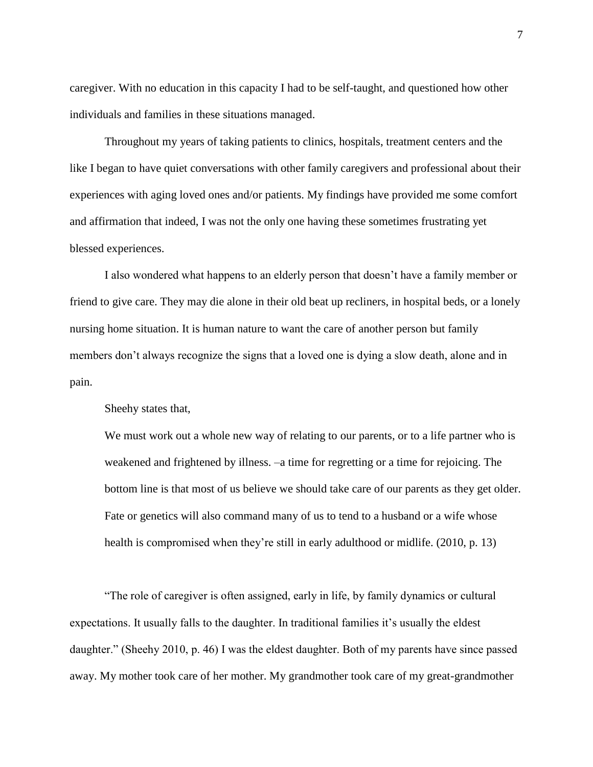caregiver. With no education in this capacity I had to be self-taught, and questioned how other individuals and families in these situations managed.

Throughout my years of taking patients to clinics, hospitals, treatment centers and the like I began to have quiet conversations with other family caregivers and professional about their experiences with aging loved ones and/or patients. My findings have provided me some comfort and affirmation that indeed, I was not the only one having these sometimes frustrating yet blessed experiences.

I also wondered what happens to an elderly person that doesn't have a family member or friend to give care. They may die alone in their old beat up recliners, in hospital beds, or a lonely nursing home situation. It is human nature to want the care of another person but family members don't always recognize the signs that a loved one is dying a slow death, alone and in pain.

Sheehy states that,

We must work out a whole new way of relating to our parents, or to a life partner who is weakened and frightened by illness. –a time for regretting or a time for rejoicing. The bottom line is that most of us believe we should take care of our parents as they get older. Fate or genetics will also command many of us to tend to a husband or a wife whose health is compromised when they're still in early adulthood or midlife. (2010, p. 13)

"The role of caregiver is often assigned, early in life, by family dynamics or cultural expectations. It usually falls to the daughter. In traditional families it's usually the eldest daughter." (Sheehy 2010, p. 46) I was the eldest daughter. Both of my parents have since passed away. My mother took care of her mother. My grandmother took care of my great-grandmother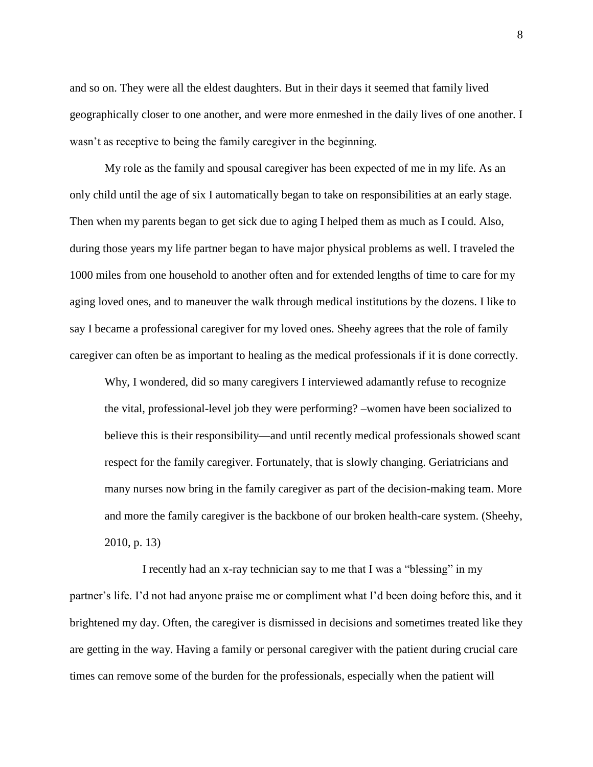and so on. They were all the eldest daughters. But in their days it seemed that family lived geographically closer to one another, and were more enmeshed in the daily lives of one another. I wasn't as receptive to being the family caregiver in the beginning.

My role as the family and spousal caregiver has been expected of me in my life. As an only child until the age of six I automatically began to take on responsibilities at an early stage. Then when my parents began to get sick due to aging I helped them as much as I could. Also, during those years my life partner began to have major physical problems as well. I traveled the 1000 miles from one household to another often and for extended lengths of time to care for my aging loved ones, and to maneuver the walk through medical institutions by the dozens. I like to say I became a professional caregiver for my loved ones. Sheehy agrees that the role of family caregiver can often be as important to healing as the medical professionals if it is done correctly.

Why, I wondered, did so many caregivers I interviewed adamantly refuse to recognize the vital, professional-level job they were performing? –women have been socialized to believe this is their responsibility—and until recently medical professionals showed scant respect for the family caregiver. Fortunately, that is slowly changing. Geriatricians and many nurses now bring in the family caregiver as part of the decision-making team. More and more the family caregiver is the backbone of our broken health-care system. (Sheehy, 2010, p. 13)

 I recently had an x-ray technician say to me that I was a "blessing" in my partner's life. I'd not had anyone praise me or compliment what I'd been doing before this, and it brightened my day. Often, the caregiver is dismissed in decisions and sometimes treated like they are getting in the way. Having a family or personal caregiver with the patient during crucial care times can remove some of the burden for the professionals, especially when the patient will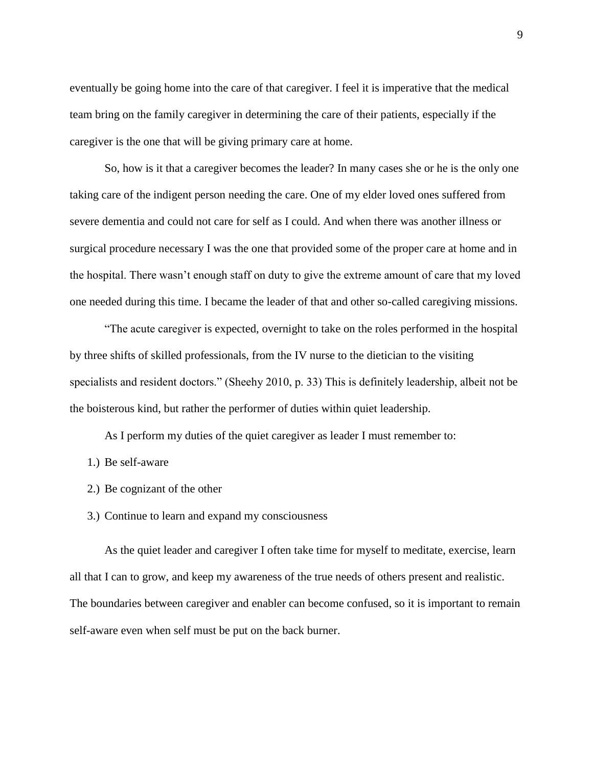eventually be going home into the care of that caregiver. I feel it is imperative that the medical team bring on the family caregiver in determining the care of their patients, especially if the caregiver is the one that will be giving primary care at home.

So, how is it that a caregiver becomes the leader? In many cases she or he is the only one taking care of the indigent person needing the care. One of my elder loved ones suffered from severe dementia and could not care for self as I could. And when there was another illness or surgical procedure necessary I was the one that provided some of the proper care at home and in the hospital. There wasn't enough staff on duty to give the extreme amount of care that my loved one needed during this time. I became the leader of that and other so-called caregiving missions.

"The acute caregiver is expected, overnight to take on the roles performed in the hospital by three shifts of skilled professionals, from the IV nurse to the dietician to the visiting specialists and resident doctors." (Sheehy 2010, p. 33) This is definitely leadership, albeit not be the boisterous kind, but rather the performer of duties within quiet leadership.

As I perform my duties of the quiet caregiver as leader I must remember to:

- 1.) Be self-aware
- 2.) Be cognizant of the other
- 3.) Continue to learn and expand my consciousness

As the quiet leader and caregiver I often take time for myself to meditate, exercise, learn all that I can to grow, and keep my awareness of the true needs of others present and realistic. The boundaries between caregiver and enabler can become confused, so it is important to remain self-aware even when self must be put on the back burner.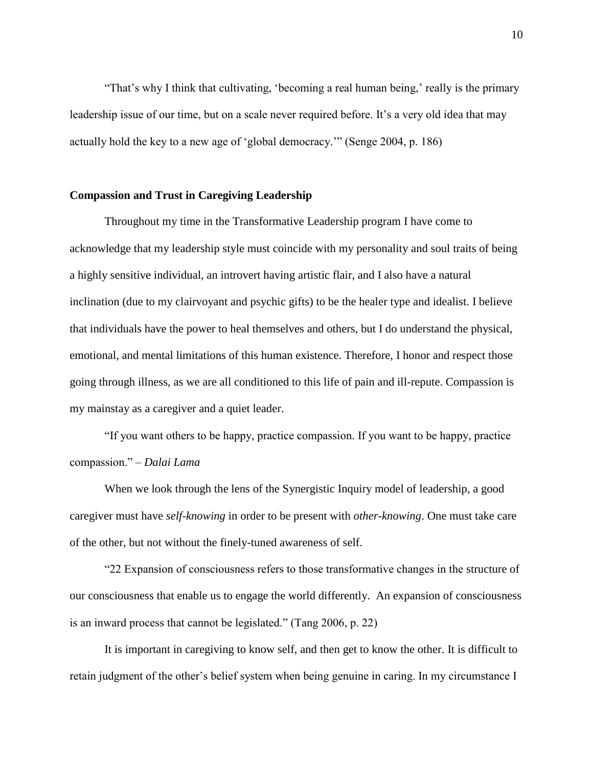"That's why I think that cultivating, 'becoming a real human being,' really is the primary leadership issue of our time, but on a scale never required before. It's a very old idea that may actually hold the key to a new age of 'global democracy.'" (Senge 2004, p. 186)

#### **Compassion and Trust in Caregiving Leadership**

Throughout my time in the Transformative Leadership program I have come to acknowledge that my leadership style must coincide with my personality and soul traits of being a highly sensitive individual, an introvert having artistic flair, and I also have a natural inclination (due to my clairvoyant and psychic gifts) to be the healer type and idealist. I believe that individuals have the power to heal themselves and others, but I do understand the physical, emotional, and mental limitations of this human existence. Therefore, I honor and respect those going through illness, as we are all conditioned to this life of pain and ill-repute. Compassion is my mainstay as a caregiver and a quiet leader.

"If you want others to be happy, practice compassion. If you want to be happy, practice compassion." *– Dalai Lama*

When we look through the lens of the Synergistic Inquiry model of leadership, a good caregiver must have *self-knowing* in order to be present with *other-knowing*. One must take care of the other, but not without the finely-tuned awareness of self.

"22 Expansion of consciousness refers to those transformative changes in the structure of our consciousness that enable us to engage the world differently. An expansion of consciousness is an inward process that cannot be legislated." (Tang 2006, p. 22)

It is important in caregiving to know self, and then get to know the other. It is difficult to retain judgment of the other's belief system when being genuine in caring. In my circumstance I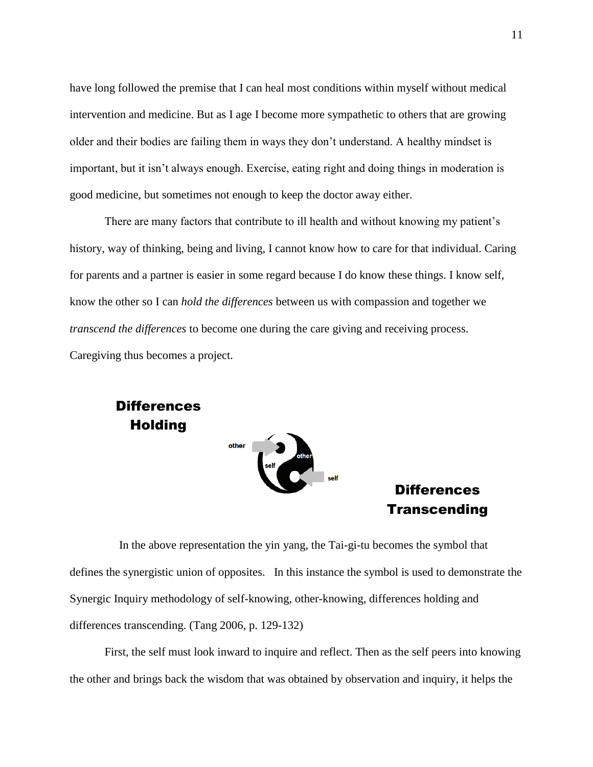have long followed the premise that I can heal most conditions within myself without medical intervention and medicine. But as I age I become more sympathetic to others that are growing older and their bodies are failing them in ways they don't understand. A healthy mindset is important, but it isn't always enough. Exercise, eating right and doing things in moderation is good medicine, but sometimes not enough to keep the doctor away either.

There are many factors that contribute to ill health and without knowing my patient's history, way of thinking, being and living, I cannot know how to care for that individual. Caring for parents and a partner is easier in some regard because I do know these things. I know self, know the other so I can *hold the differences* between us with compassion and together we *transcend the differences* to become one during the care giving and receiving process. Caregiving thus becomes a project.



 In the above representation the yin yang, the Tai-gi-tu becomes the symbol that defines the synergistic union of opposites. In this instance the symbol is used to demonstrate the Synergic Inquiry methodology of self-knowing, other-knowing, differences holding and differences transcending. (Tang 2006, p. 129-132)

First, the self must look inward to inquire and reflect. Then as the self peers into knowing the other and brings back the wisdom that was obtained by observation and inquiry, it helps the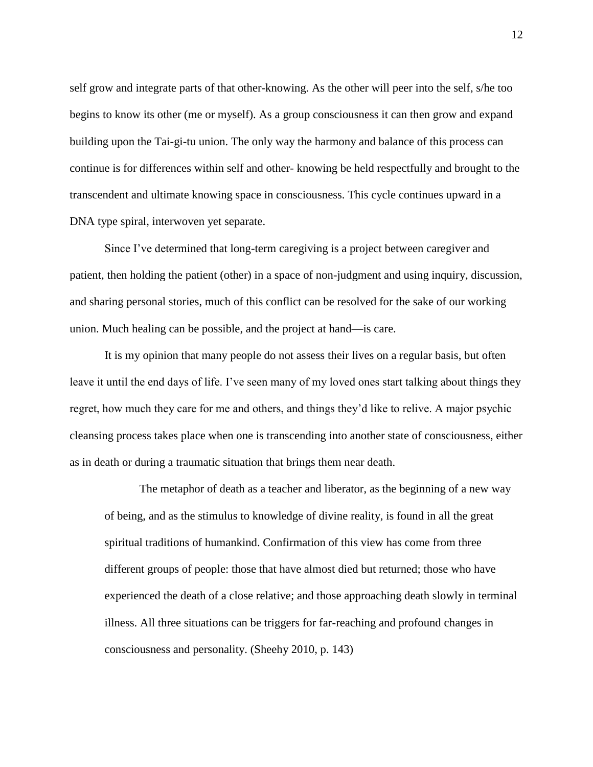self grow and integrate parts of that other-knowing. As the other will peer into the self, s/he too begins to know its other (me or myself). As a group consciousness it can then grow and expand building upon the Tai-gi-tu union. The only way the harmony and balance of this process can continue is for differences within self and other- knowing be held respectfully and brought to the transcendent and ultimate knowing space in consciousness. This cycle continues upward in a DNA type spiral, interwoven yet separate.

Since I've determined that long-term caregiving is a project between caregiver and patient, then holding the patient (other) in a space of non-judgment and using inquiry, discussion, and sharing personal stories, much of this conflict can be resolved for the sake of our working union. Much healing can be possible, and the project at hand—is care.

It is my opinion that many people do not assess their lives on a regular basis, but often leave it until the end days of life. I've seen many of my loved ones start talking about things they regret, how much they care for me and others, and things they'd like to relive. A major psychic cleansing process takes place when one is transcending into another state of consciousness, either as in death or during a traumatic situation that brings them near death.

The metaphor of death as a teacher and liberator, as the beginning of a new way of being, and as the stimulus to knowledge of divine reality, is found in all the great spiritual traditions of humankind. Confirmation of this view has come from three different groups of people: those that have almost died but returned; those who have experienced the death of a close relative; and those approaching death slowly in terminal illness. All three situations can be triggers for far-reaching and profound changes in consciousness and personality. (Sheehy 2010, p. 143)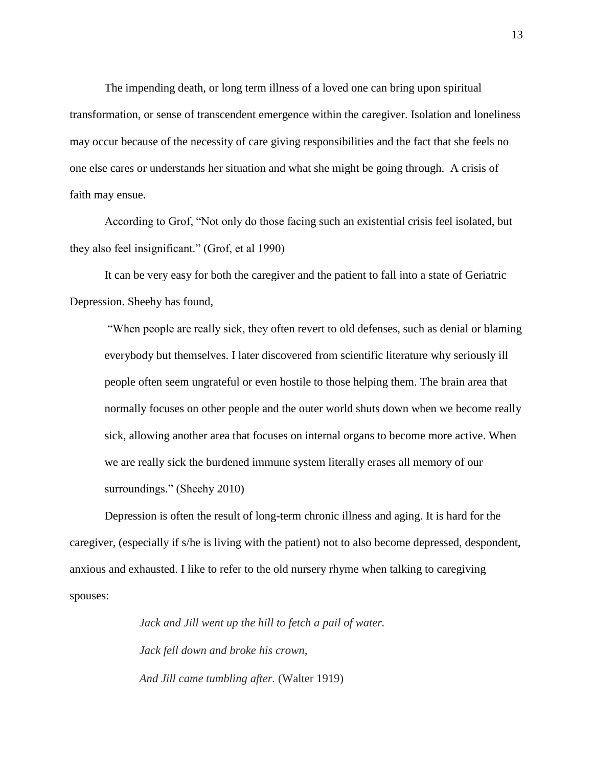The impending death, or long term illness of a loved one can bring upon spiritual transformation, or sense of transcendent emergence within the caregiver. Isolation and loneliness may occur because of the necessity of care giving responsibilities and the fact that she feels no one else cares or understands her situation and what she might be going through. A crisis of faith may ensue.

According to Grof, "Not only do those facing such an existential crisis feel isolated, but they also feel insignificant." (Grof, et al 1990)

It can be very easy for both the caregiver and the patient to fall into a state of Geriatric Depression. Sheehy has found,

"When people are really sick, they often revert to old defenses, such as denial or blaming everybody but themselves. I later discovered from scientific literature why seriously ill people often seem ungrateful or even hostile to those helping them. The brain area that normally focuses on other people and the outer world shuts down when we become really sick, allowing another area that focuses on internal organs to become more active. When we are really sick the burdened immune system literally erases all memory of our surroundings." (Sheehy 2010)

Depression is often the result of long-term chronic illness and aging. It is hard for the caregiver, (especially if s/he is living with the patient) not to also become depressed, despondent, anxious and exhausted. I like to refer to the old nursery rhyme when talking to caregiving spouses:

> *Jack and Jill went up the hill to fetch a pail of water. Jack fell down and broke his crown, And Jill came tumbling after.* (Walter 1919)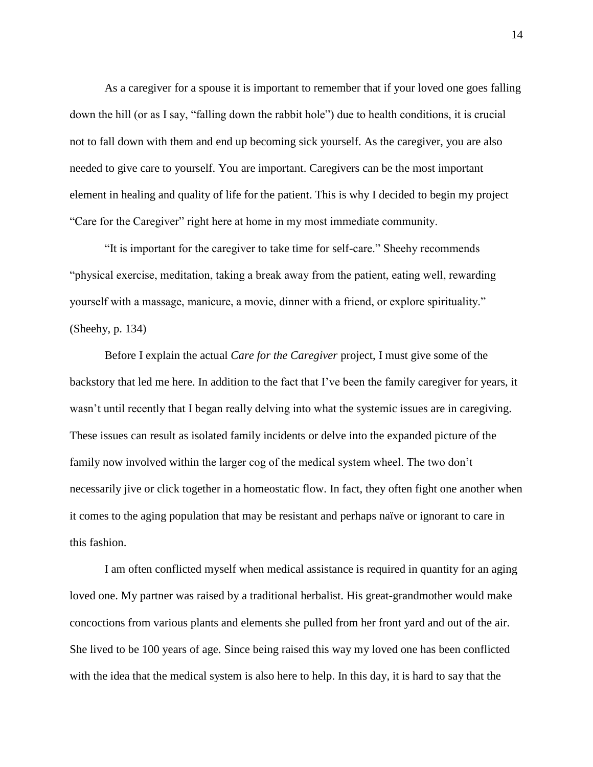As a caregiver for a spouse it is important to remember that if your loved one goes falling down the hill (or as I say, "falling down the rabbit hole") due to health conditions, it is crucial not to fall down with them and end up becoming sick yourself. As the caregiver, you are also needed to give care to yourself. You are important. Caregivers can be the most important element in healing and quality of life for the patient. This is why I decided to begin my project "Care for the Caregiver" right here at home in my most immediate community.

"It is important for the caregiver to take time for self-care." Sheehy recommends "physical exercise, meditation, taking a break away from the patient, eating well, rewarding yourself with a massage, manicure, a movie, dinner with a friend, or explore spirituality." (Sheehy, p. 134)

Before I explain the actual *Care for the Caregiver* project, I must give some of the backstory that led me here. In addition to the fact that I've been the family caregiver for years, it wasn't until recently that I began really delving into what the systemic issues are in caregiving. These issues can result as isolated family incidents or delve into the expanded picture of the family now involved within the larger cog of the medical system wheel. The two don't necessarily jive or click together in a homeostatic flow. In fact, they often fight one another when it comes to the aging population that may be resistant and perhaps naïve or ignorant to care in this fashion.

I am often conflicted myself when medical assistance is required in quantity for an aging loved one. My partner was raised by a traditional herbalist. His great-grandmother would make concoctions from various plants and elements she pulled from her front yard and out of the air. She lived to be 100 years of age. Since being raised this way my loved one has been conflicted with the idea that the medical system is also here to help. In this day, it is hard to say that the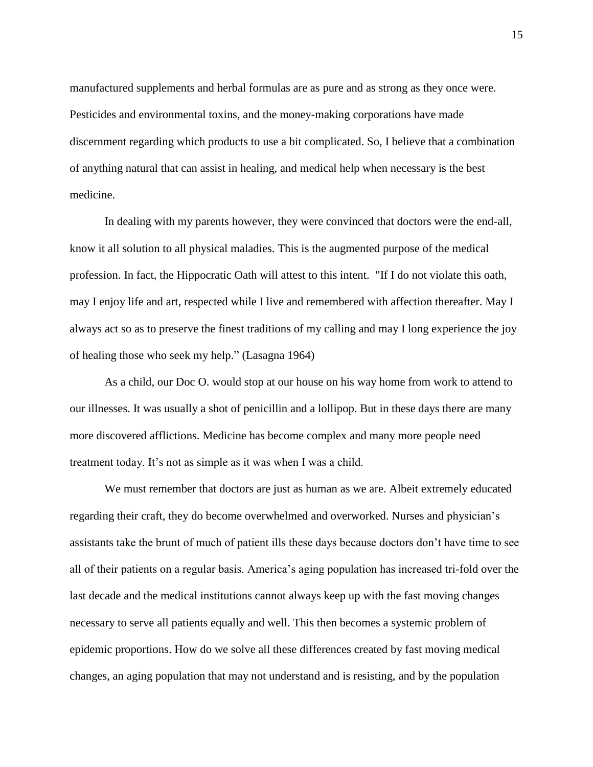manufactured supplements and herbal formulas are as pure and as strong as they once were. Pesticides and environmental toxins, and the money-making corporations have made discernment regarding which products to use a bit complicated. So, I believe that a combination of anything natural that can assist in healing, and medical help when necessary is the best medicine.

In dealing with my parents however, they were convinced that doctors were the end-all, know it all solution to all physical maladies. This is the augmented purpose of the medical profession. In fact, the Hippocratic Oath will attest to this intent. "If I do not violate this oath, may I enjoy life and art, respected while I live and remembered with affection thereafter. May I always act so as to preserve the finest traditions of my calling and may I long experience the joy of healing those who seek my help." (Lasagna 1964)

As a child, our Doc O. would stop at our house on his way home from work to attend to our illnesses. It was usually a shot of penicillin and a lollipop. But in these days there are many more discovered afflictions. Medicine has become complex and many more people need treatment today. It's not as simple as it was when I was a child.

We must remember that doctors are just as human as we are. Albeit extremely educated regarding their craft, they do become overwhelmed and overworked. Nurses and physician's assistants take the brunt of much of patient ills these days because doctors don't have time to see all of their patients on a regular basis. America's aging population has increased tri-fold over the last decade and the medical institutions cannot always keep up with the fast moving changes necessary to serve all patients equally and well. This then becomes a systemic problem of epidemic proportions. How do we solve all these differences created by fast moving medical changes, an aging population that may not understand and is resisting, and by the population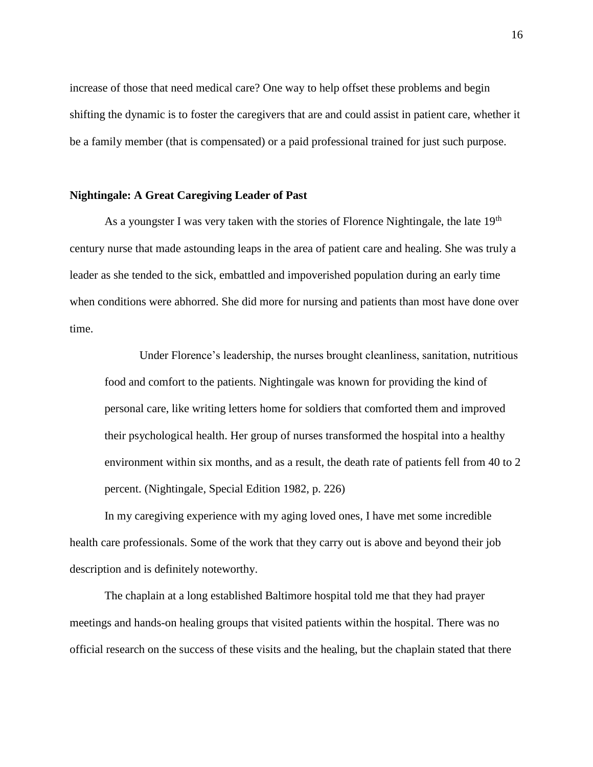increase of those that need medical care? One way to help offset these problems and begin shifting the dynamic is to foster the caregivers that are and could assist in patient care, whether it be a family member (that is compensated) or a paid professional trained for just such purpose.

#### **Nightingale: A Great Caregiving Leader of Past**

As a youngster I was very taken with the stories of Florence Nightingale, the late  $19<sup>th</sup>$ century nurse that made astounding leaps in the area of patient care and healing. She was truly a leader as she tended to the sick, embattled and impoverished population during an early time when conditions were abhorred. She did more for nursing and patients than most have done over time.

Under Florence's leadership, the nurses brought cleanliness, sanitation, nutritious food and comfort to the patients. Nightingale was known for providing the kind of personal care, like writing letters home for soldiers that comforted them and improved their psychological health. Her group of nurses transformed the hospital into a healthy environment within six months, and as a result, the death rate of patients fell from 40 to 2 percent. (Nightingale, Special Edition 1982, p. 226)

In my caregiving experience with my aging loved ones, I have met some incredible health care professionals. Some of the work that they carry out is above and beyond their job description and is definitely noteworthy.

The chaplain at a long established Baltimore hospital told me that they had prayer meetings and hands-on healing groups that visited patients within the hospital. There was no official research on the success of these visits and the healing, but the chaplain stated that there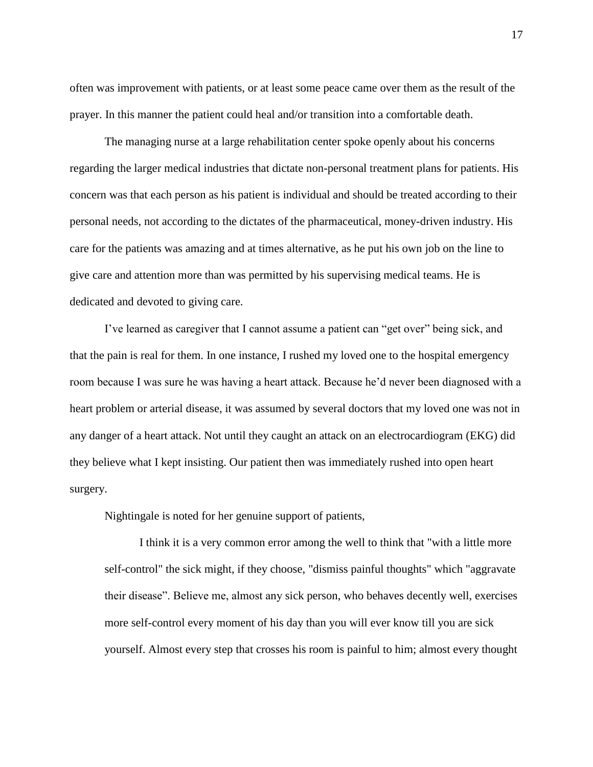often was improvement with patients, or at least some peace came over them as the result of the prayer. In this manner the patient could heal and/or transition into a comfortable death.

The managing nurse at a large rehabilitation center spoke openly about his concerns regarding the larger medical industries that dictate non-personal treatment plans for patients. His concern was that each person as his patient is individual and should be treated according to their personal needs, not according to the dictates of the pharmaceutical, money-driven industry. His care for the patients was amazing and at times alternative, as he put his own job on the line to give care and attention more than was permitted by his supervising medical teams. He is dedicated and devoted to giving care.

I've learned as caregiver that I cannot assume a patient can "get over" being sick, and that the pain is real for them. In one instance, I rushed my loved one to the hospital emergency room because I was sure he was having a heart attack. Because he'd never been diagnosed with a heart problem or arterial disease, it was assumed by several doctors that my loved one was not in any danger of a heart attack. Not until they caught an attack on an electrocardiogram (EKG) did they believe what I kept insisting. Our patient then was immediately rushed into open heart surgery.

Nightingale is noted for her genuine support of patients,

I think it is a very common error among the well to think that "with a little more self-control" the sick might, if they choose, "dismiss painful thoughts" which "aggravate their disease". Believe me, almost any sick person, who behaves decently well, exercises more self-control every moment of his day than you will ever know till you are sick yourself. Almost every step that crosses his room is painful to him; almost every thought

17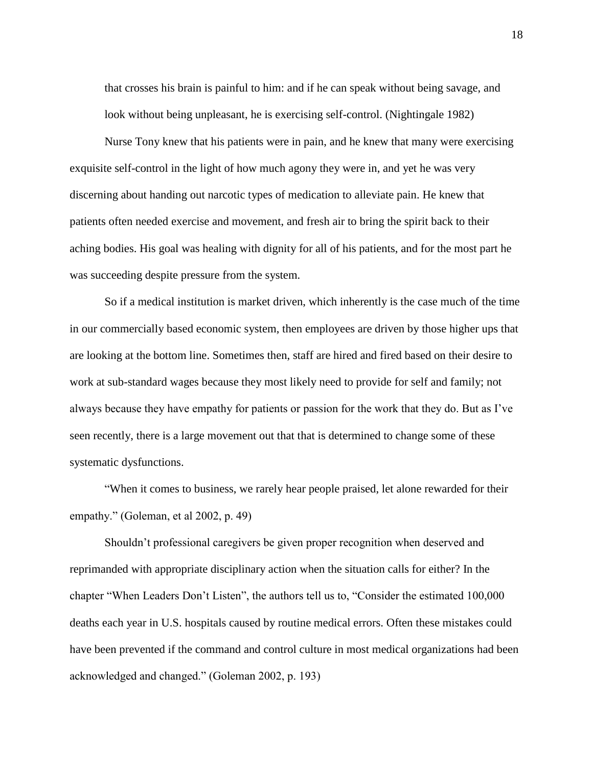that crosses his brain is painful to him: and if he can speak without being savage, and look without being unpleasant, he is exercising self-control. (Nightingale 1982)

Nurse Tony knew that his patients were in pain, and he knew that many were exercising exquisite self-control in the light of how much agony they were in, and yet he was very discerning about handing out narcotic types of medication to alleviate pain. He knew that patients often needed exercise and movement, and fresh air to bring the spirit back to their aching bodies. His goal was healing with dignity for all of his patients, and for the most part he was succeeding despite pressure from the system.

So if a medical institution is market driven, which inherently is the case much of the time in our commercially based economic system, then employees are driven by those higher ups that are looking at the bottom line. Sometimes then, staff are hired and fired based on their desire to work at sub-standard wages because they most likely need to provide for self and family; not always because they have empathy for patients or passion for the work that they do. But as I've seen recently, there is a large movement out that that is determined to change some of these systematic dysfunctions.

"When it comes to business, we rarely hear people praised, let alone rewarded for their empathy." (Goleman, et al 2002, p. 49)

Shouldn't professional caregivers be given proper recognition when deserved and reprimanded with appropriate disciplinary action when the situation calls for either? In the chapter "When Leaders Don't Listen", the authors tell us to, "Consider the estimated 100,000 deaths each year in U.S. hospitals caused by routine medical errors. Often these mistakes could have been prevented if the command and control culture in most medical organizations had been acknowledged and changed." (Goleman 2002, p. 193)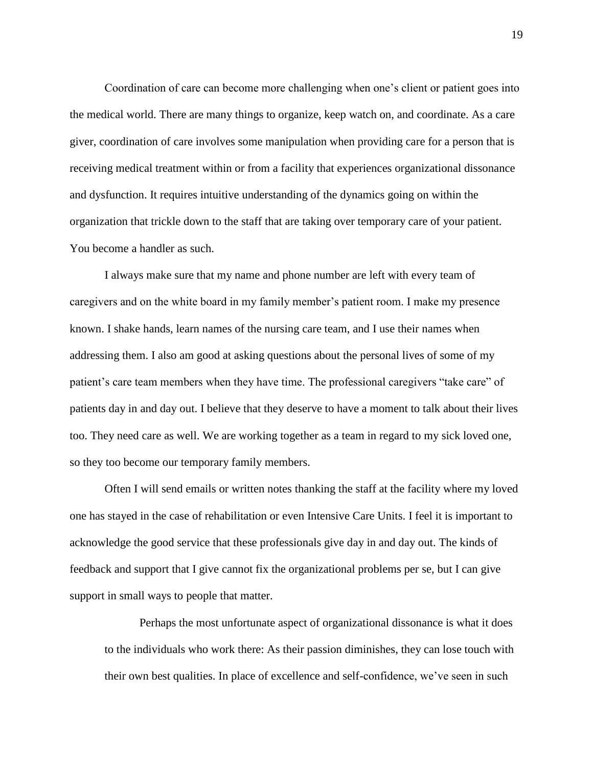Coordination of care can become more challenging when one's client or patient goes into the medical world. There are many things to organize, keep watch on, and coordinate. As a care giver, coordination of care involves some manipulation when providing care for a person that is receiving medical treatment within or from a facility that experiences organizational dissonance and dysfunction. It requires intuitive understanding of the dynamics going on within the organization that trickle down to the staff that are taking over temporary care of your patient. You become a handler as such.

I always make sure that my name and phone number are left with every team of caregivers and on the white board in my family member's patient room. I make my presence known. I shake hands, learn names of the nursing care team, and I use their names when addressing them. I also am good at asking questions about the personal lives of some of my patient's care team members when they have time. The professional caregivers "take care" of patients day in and day out. I believe that they deserve to have a moment to talk about their lives too. They need care as well. We are working together as a team in regard to my sick loved one, so they too become our temporary family members.

Often I will send emails or written notes thanking the staff at the facility where my loved one has stayed in the case of rehabilitation or even Intensive Care Units. I feel it is important to acknowledge the good service that these professionals give day in and day out. The kinds of feedback and support that I give cannot fix the organizational problems per se, but I can give support in small ways to people that matter.

Perhaps the most unfortunate aspect of organizational dissonance is what it does to the individuals who work there: As their passion diminishes, they can lose touch with their own best qualities. In place of excellence and self-confidence, we've seen in such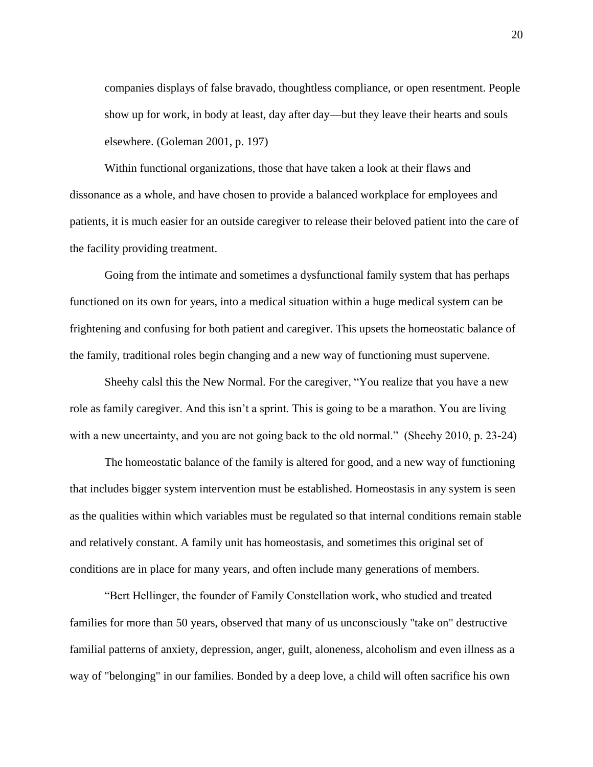companies displays of false bravado, thoughtless compliance, or open resentment. People show up for work, in body at least, day after day—but they leave their hearts and souls elsewhere. (Goleman 2001, p. 197)

Within functional organizations, those that have taken a look at their flaws and dissonance as a whole, and have chosen to provide a balanced workplace for employees and patients, it is much easier for an outside caregiver to release their beloved patient into the care of the facility providing treatment.

Going from the intimate and sometimes a dysfunctional family system that has perhaps functioned on its own for years, into a medical situation within a huge medical system can be frightening and confusing for both patient and caregiver. This upsets the homeostatic balance of the family, traditional roles begin changing and a new way of functioning must supervene.

Sheehy calsl this the New Normal. For the caregiver, "You realize that you have a new role as family caregiver. And this isn't a sprint. This is going to be a marathon. You are living with a new uncertainty, and you are not going back to the old normal." (Sheehy 2010, p. 23-24)

The homeostatic balance of the family is altered for good, and a new way of functioning that includes bigger system intervention must be established. Homeostasis in any system is seen as the qualities within which variables must be regulated so that internal conditions remain stable and relatively constant. A family unit has homeostasis, and sometimes this original set of conditions are in place for many years, and often include many generations of members.

"Bert Hellinger, the founder of Family Constellation work, who studied and treated families for more than 50 years, observed that many of us unconsciously "take on" destructive familial patterns of anxiety, depression, anger, guilt, aloneness, alcoholism and even illness as a way of "belonging" in our families. Bonded by a deep love, a child will often sacrifice his own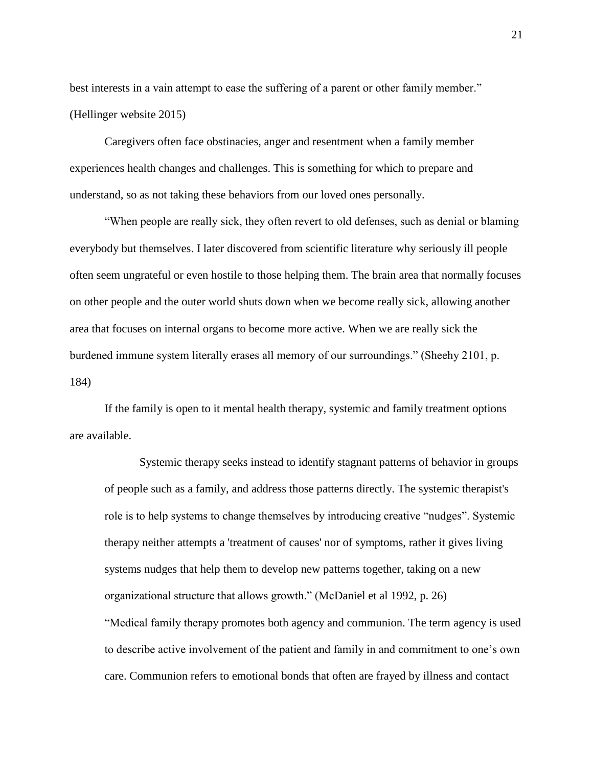best interests in a vain attempt to ease the suffering of a parent or other family member." (Hellinger website 2015)

Caregivers often face obstinacies, anger and resentment when a family member experiences health changes and challenges. This is something for which to prepare and understand, so as not taking these behaviors from our loved ones personally.

"When people are really sick, they often revert to old defenses, such as denial or blaming everybody but themselves. I later discovered from scientific literature why seriously ill people often seem ungrateful or even hostile to those helping them. The brain area that normally focuses on other people and the outer world shuts down when we become really sick, allowing another area that focuses on internal organs to become more active. When we are really sick the burdened immune system literally erases all memory of our surroundings." (Sheehy 2101, p. 184)

If the family is open to it mental health therapy, systemic and family treatment options are available.

Systemic therapy seeks instead to identify stagnant patterns of behavior in groups of people such as a family, and address those patterns directly. The systemic therapist's role is to help systems to change themselves by introducing creative "nudges". Systemic therapy neither attempts a 'treatment of causes' nor of symptoms, rather it gives living systems nudges that help them to develop new patterns together, taking on a new organizational structure that allows growth." (McDaniel et al 1992, p. 26) "Medical family therapy promotes both agency and communion. The term agency is used to describe active involvement of the patient and family in and commitment to one's own care. Communion refers to emotional bonds that often are frayed by illness and contact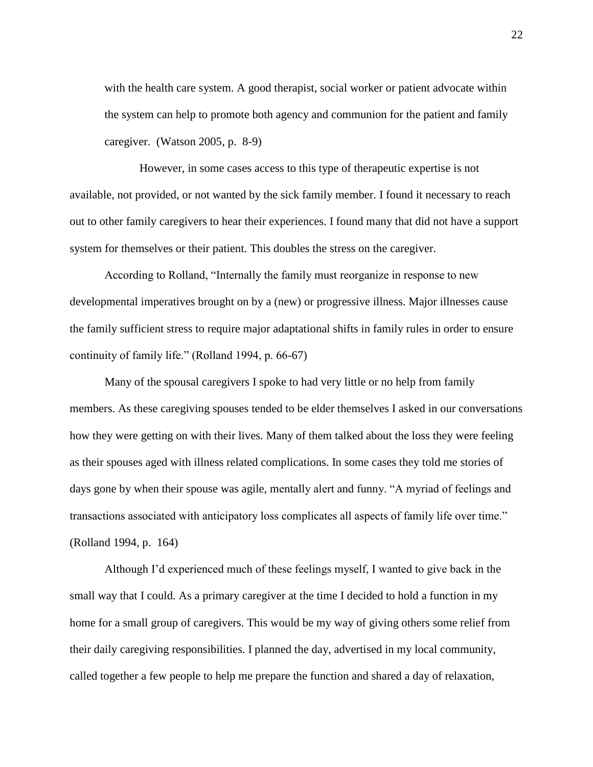with the health care system. A good therapist, social worker or patient advocate within the system can help to promote both agency and communion for the patient and family caregiver. (Watson 2005, p. 8-9)

However, in some cases access to this type of therapeutic expertise is not available, not provided, or not wanted by the sick family member. I found it necessary to reach out to other family caregivers to hear their experiences. I found many that did not have a support system for themselves or their patient. This doubles the stress on the caregiver.

According to Rolland, "Internally the family must reorganize in response to new developmental imperatives brought on by a (new) or progressive illness. Major illnesses cause the family sufficient stress to require major adaptational shifts in family rules in order to ensure continuity of family life." (Rolland 1994, p. 66-67)

Many of the spousal caregivers I spoke to had very little or no help from family members. As these caregiving spouses tended to be elder themselves I asked in our conversations how they were getting on with their lives. Many of them talked about the loss they were feeling as their spouses aged with illness related complications. In some cases they told me stories of days gone by when their spouse was agile, mentally alert and funny. "A myriad of feelings and transactions associated with anticipatory loss complicates all aspects of family life over time." (Rolland 1994, p. 164)

Although I'd experienced much of these feelings myself, I wanted to give back in the small way that I could. As a primary caregiver at the time I decided to hold a function in my home for a small group of caregivers. This would be my way of giving others some relief from their daily caregiving responsibilities. I planned the day, advertised in my local community, called together a few people to help me prepare the function and shared a day of relaxation,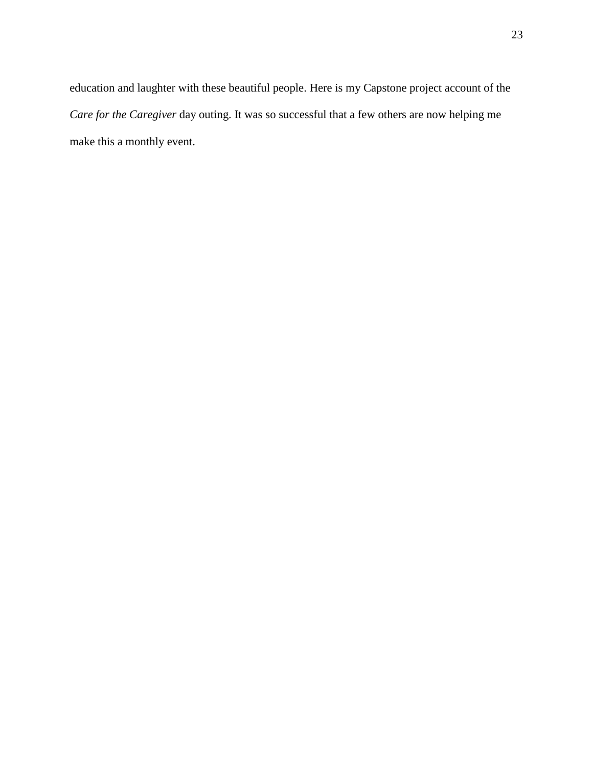education and laughter with these beautiful people. Here is my Capstone project account of the *Care for the Caregiver* day outing. It was so successful that a few others are now helping me make this a monthly event.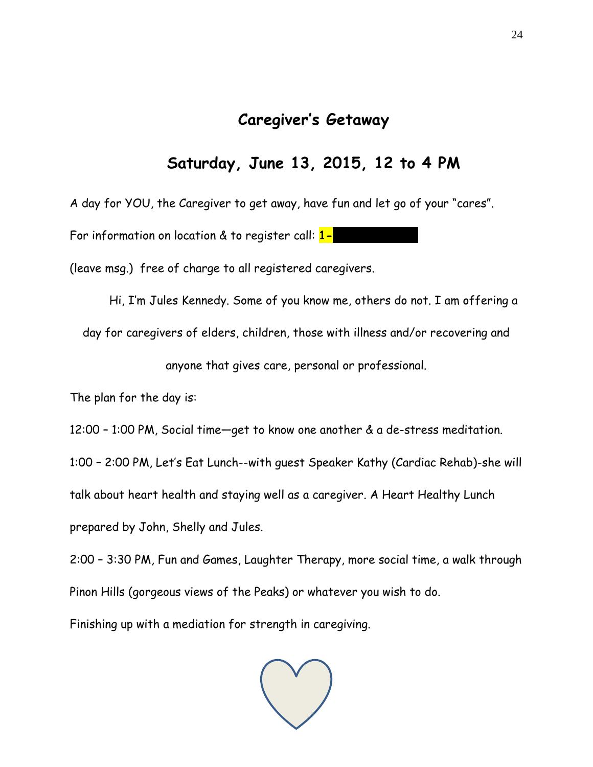# **Caregiver's Getaway**

# **Saturday, June 13, 2015, 12 to 4 PM**

A day for YOU, the Caregiver to get away, have fun and let go of your "cares".

For information on location & to register call: 1-

(leave msg.) free of charge to all registered caregivers.

Hi, I'm Jules Kennedy. Some of you know me, others do not. I am offering a day for caregivers of elders, children, those with illness and/or recovering and anyone that gives care, personal or professional.

The plan for the day is:

12:00 – 1:00 PM, Social time—get to know one another & a de-stress meditation.

1:00 – 2:00 PM, Let's Eat Lunch--with guest Speaker Kathy (Cardiac Rehab)-she will

talk about heart health and staying well as a caregiver. A Heart Healthy Lunch

prepared by John, Shelly and Jules.

2:00 – 3:30 PM, Fun and Games, Laughter Therapy, more social time, a walk through Pinon Hills (gorgeous views of the Peaks) or whatever you wish to do.

Finishing up with a mediation for strength in caregiving.

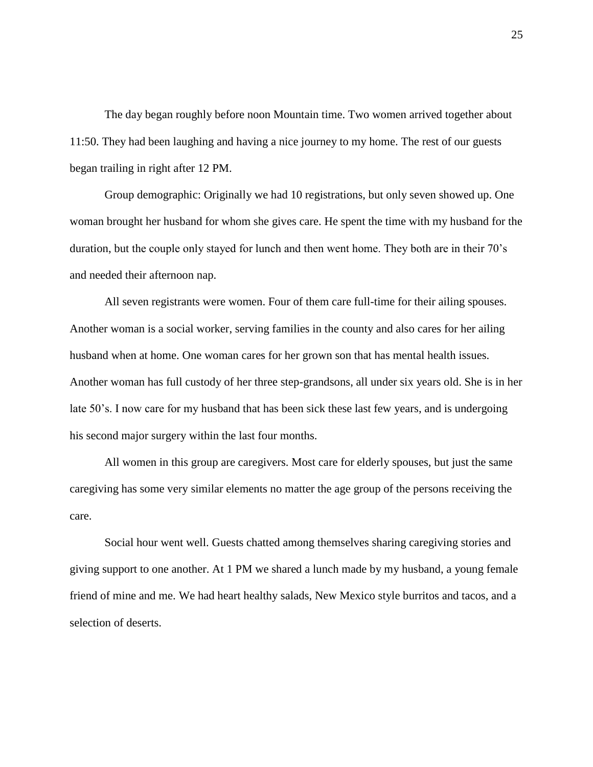The day began roughly before noon Mountain time. Two women arrived together about 11:50. They had been laughing and having a nice journey to my home. The rest of our guests began trailing in right after 12 PM.

Group demographic: Originally we had 10 registrations, but only seven showed up. One woman brought her husband for whom she gives care. He spent the time with my husband for the duration, but the couple only stayed for lunch and then went home. They both are in their 70's and needed their afternoon nap.

All seven registrants were women. Four of them care full-time for their ailing spouses. Another woman is a social worker, serving families in the county and also cares for her ailing husband when at home. One woman cares for her grown son that has mental health issues. Another woman has full custody of her three step-grandsons, all under six years old. She is in her late 50's. I now care for my husband that has been sick these last few years, and is undergoing his second major surgery within the last four months.

All women in this group are caregivers. Most care for elderly spouses, but just the same caregiving has some very similar elements no matter the age group of the persons receiving the care.

Social hour went well. Guests chatted among themselves sharing caregiving stories and giving support to one another. At 1 PM we shared a lunch made by my husband, a young female friend of mine and me. We had heart healthy salads, New Mexico style burritos and tacos, and a selection of deserts.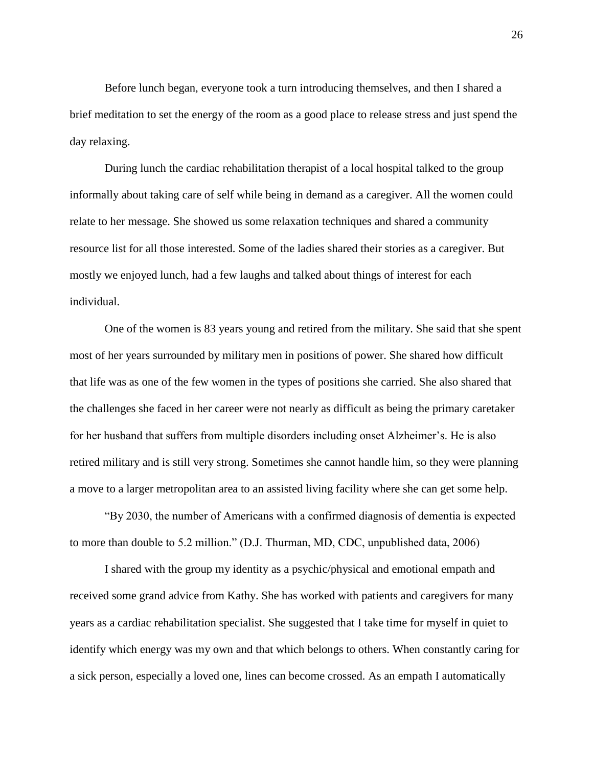Before lunch began, everyone took a turn introducing themselves, and then I shared a brief meditation to set the energy of the room as a good place to release stress and just spend the day relaxing.

During lunch the cardiac rehabilitation therapist of a local hospital talked to the group informally about taking care of self while being in demand as a caregiver. All the women could relate to her message. She showed us some relaxation techniques and shared a community resource list for all those interested. Some of the ladies shared their stories as a caregiver. But mostly we enjoyed lunch, had a few laughs and talked about things of interest for each individual.

One of the women is 83 years young and retired from the military. She said that she spent most of her years surrounded by military men in positions of power. She shared how difficult that life was as one of the few women in the types of positions she carried. She also shared that the challenges she faced in her career were not nearly as difficult as being the primary caretaker for her husband that suffers from multiple disorders including onset Alzheimer's. He is also retired military and is still very strong. Sometimes she cannot handle him, so they were planning a move to a larger metropolitan area to an assisted living facility where she can get some help.

"By 2030, the number of Americans with a confirmed diagnosis of dementia is expected to more than double to 5.2 million." (D.J. Thurman, MD, CDC, unpublished data, 2006)

I shared with the group my identity as a psychic/physical and emotional empath and received some grand advice from Kathy. She has worked with patients and caregivers for many years as a cardiac rehabilitation specialist. She suggested that I take time for myself in quiet to identify which energy was my own and that which belongs to others. When constantly caring for a sick person, especially a loved one, lines can become crossed. As an empath I automatically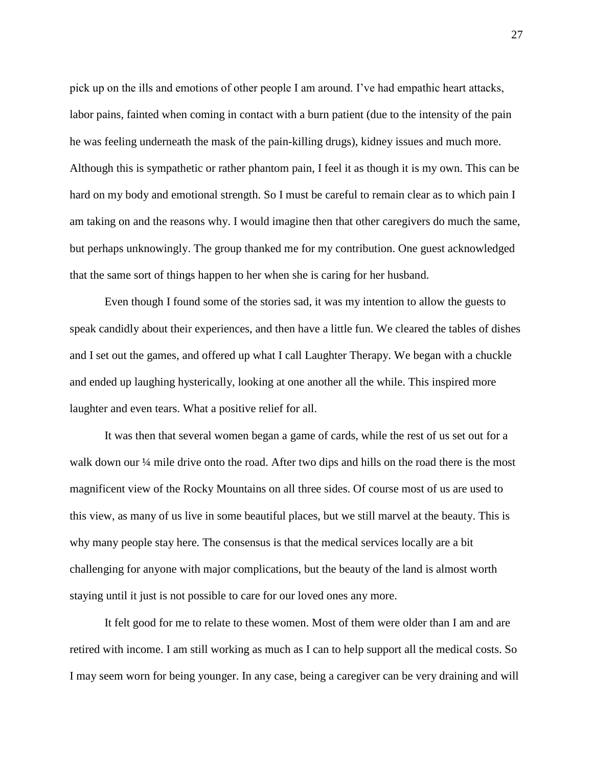pick up on the ills and emotions of other people I am around. I've had empathic heart attacks, labor pains, fainted when coming in contact with a burn patient (due to the intensity of the pain he was feeling underneath the mask of the pain-killing drugs), kidney issues and much more. Although this is sympathetic or rather phantom pain, I feel it as though it is my own. This can be hard on my body and emotional strength. So I must be careful to remain clear as to which pain I am taking on and the reasons why. I would imagine then that other caregivers do much the same, but perhaps unknowingly. The group thanked me for my contribution. One guest acknowledged that the same sort of things happen to her when she is caring for her husband.

Even though I found some of the stories sad, it was my intention to allow the guests to speak candidly about their experiences, and then have a little fun. We cleared the tables of dishes and I set out the games, and offered up what I call Laughter Therapy. We began with a chuckle and ended up laughing hysterically, looking at one another all the while. This inspired more laughter and even tears. What a positive relief for all.

It was then that several women began a game of cards, while the rest of us set out for a walk down our <sup>1/4</sup> mile drive onto the road. After two dips and hills on the road there is the most magnificent view of the Rocky Mountains on all three sides. Of course most of us are used to this view, as many of us live in some beautiful places, but we still marvel at the beauty. This is why many people stay here. The consensus is that the medical services locally are a bit challenging for anyone with major complications, but the beauty of the land is almost worth staying until it just is not possible to care for our loved ones any more.

It felt good for me to relate to these women. Most of them were older than I am and are retired with income. I am still working as much as I can to help support all the medical costs. So I may seem worn for being younger. In any case, being a caregiver can be very draining and will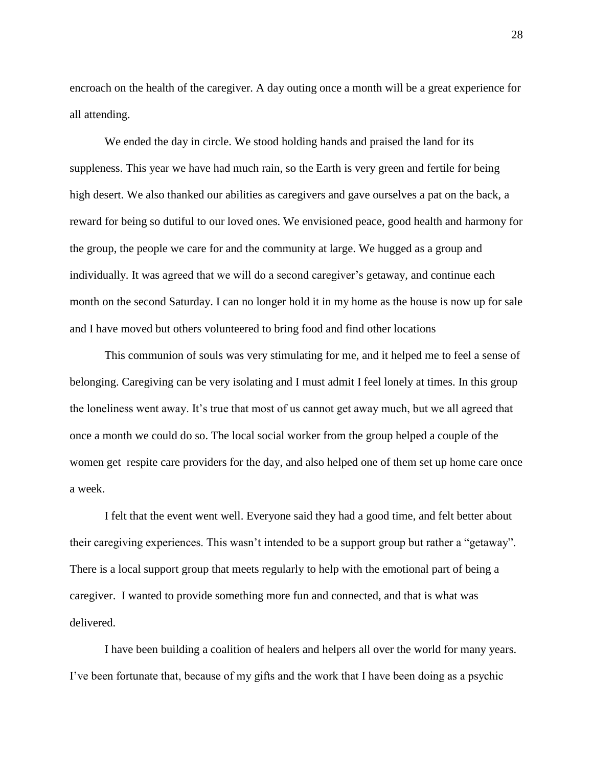encroach on the health of the caregiver. A day outing once a month will be a great experience for all attending.

We ended the day in circle. We stood holding hands and praised the land for its suppleness. This year we have had much rain, so the Earth is very green and fertile for being high desert. We also thanked our abilities as caregivers and gave ourselves a pat on the back, a reward for being so dutiful to our loved ones. We envisioned peace, good health and harmony for the group, the people we care for and the community at large. We hugged as a group and individually. It was agreed that we will do a second caregiver's getaway, and continue each month on the second Saturday. I can no longer hold it in my home as the house is now up for sale and I have moved but others volunteered to bring food and find other locations

This communion of souls was very stimulating for me, and it helped me to feel a sense of belonging. Caregiving can be very isolating and I must admit I feel lonely at times. In this group the loneliness went away. It's true that most of us cannot get away much, but we all agreed that once a month we could do so. The local social worker from the group helped a couple of the women get respite care providers for the day, and also helped one of them set up home care once a week.

I felt that the event went well. Everyone said they had a good time, and felt better about their caregiving experiences. This wasn't intended to be a support group but rather a "getaway". There is a local support group that meets regularly to help with the emotional part of being a caregiver. I wanted to provide something more fun and connected, and that is what was delivered.

I have been building a coalition of healers and helpers all over the world for many years. I've been fortunate that, because of my gifts and the work that I have been doing as a psychic

28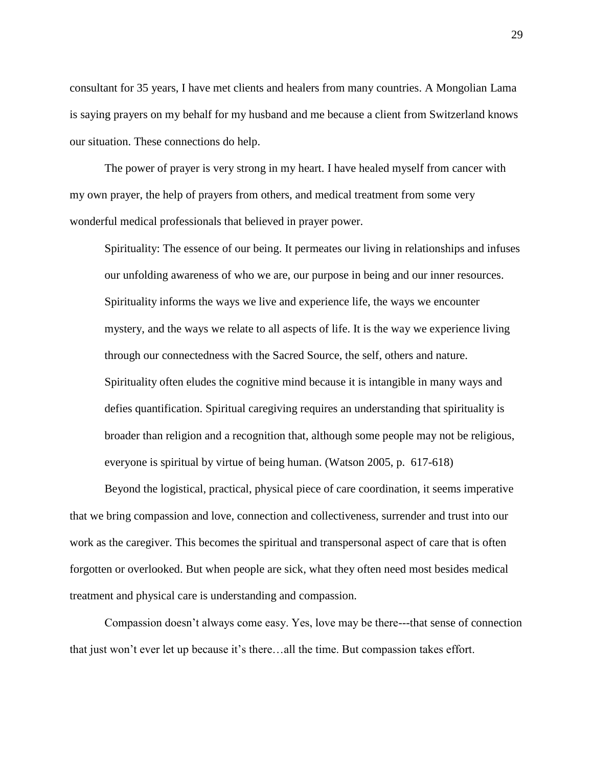consultant for 35 years, I have met clients and healers from many countries. A Mongolian Lama is saying prayers on my behalf for my husband and me because a client from Switzerland knows our situation. These connections do help.

The power of prayer is very strong in my heart. I have healed myself from cancer with my own prayer, the help of prayers from others, and medical treatment from some very wonderful medical professionals that believed in prayer power.

Spirituality: The essence of our being. It permeates our living in relationships and infuses our unfolding awareness of who we are, our purpose in being and our inner resources. Spirituality informs the ways we live and experience life, the ways we encounter mystery, and the ways we relate to all aspects of life. It is the way we experience living through our connectedness with the Sacred Source, the self, others and nature. Spirituality often eludes the cognitive mind because it is intangible in many ways and defies quantification. Spiritual caregiving requires an understanding that spirituality is broader than religion and a recognition that, although some people may not be religious, everyone is spiritual by virtue of being human. (Watson 2005, p. 617-618)

Beyond the logistical, practical, physical piece of care coordination, it seems imperative that we bring compassion and love, connection and collectiveness, surrender and trust into our work as the caregiver. This becomes the spiritual and transpersonal aspect of care that is often forgotten or overlooked. But when people are sick, what they often need most besides medical treatment and physical care is understanding and compassion.

Compassion doesn't always come easy. Yes, love may be there---that sense of connection that just won't ever let up because it's there…all the time. But compassion takes effort.

29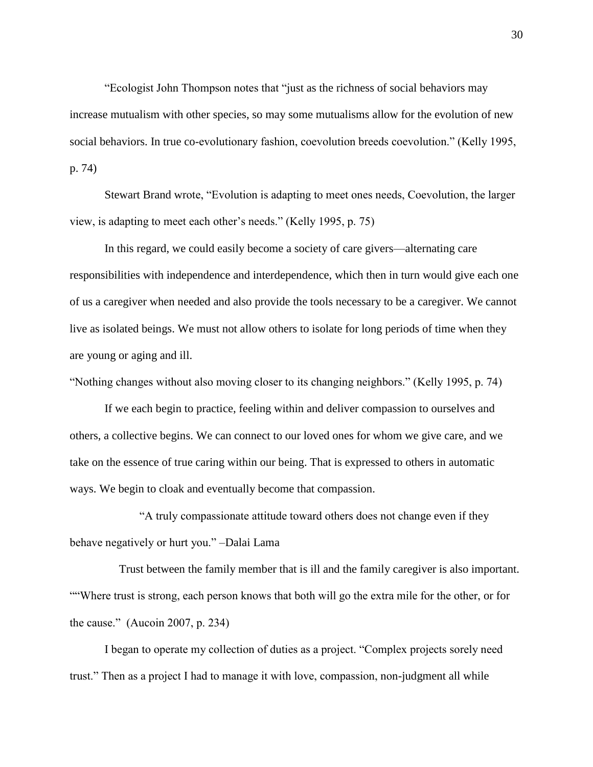"Ecologist John Thompson notes that "just as the richness of social behaviors may increase mutualism with other species, so may some mutualisms allow for the evolution of new social behaviors. In true co-evolutionary fashion, coevolution breeds coevolution." (Kelly 1995, p. 74)

Stewart Brand wrote, "Evolution is adapting to meet ones needs, Coevolution, the larger view, is adapting to meet each other's needs." (Kelly 1995, p. 75)

In this regard, we could easily become a society of care givers—alternating care responsibilities with independence and interdependence, which then in turn would give each one of us a caregiver when needed and also provide the tools necessary to be a caregiver. We cannot live as isolated beings. We must not allow others to isolate for long periods of time when they are young or aging and ill.

"Nothing changes without also moving closer to its changing neighbors." (Kelly 1995, p. 74)

If we each begin to practice, feeling within and deliver compassion to ourselves and others, a collective begins. We can connect to our loved ones for whom we give care, and we take on the essence of true caring within our being. That is expressed to others in automatic ways. We begin to cloak and eventually become that compassion.

"A truly compassionate attitude toward others does not change even if they behave negatively or hurt you." –Dalai Lama

 Trust between the family member that is ill and the family caregiver is also important. ""Where trust is strong, each person knows that both will go the extra mile for the other, or for the cause." (Aucoin 2007, p. 234)

I began to operate my collection of duties as a project. "Complex projects sorely need trust." Then as a project I had to manage it with love, compassion, non-judgment all while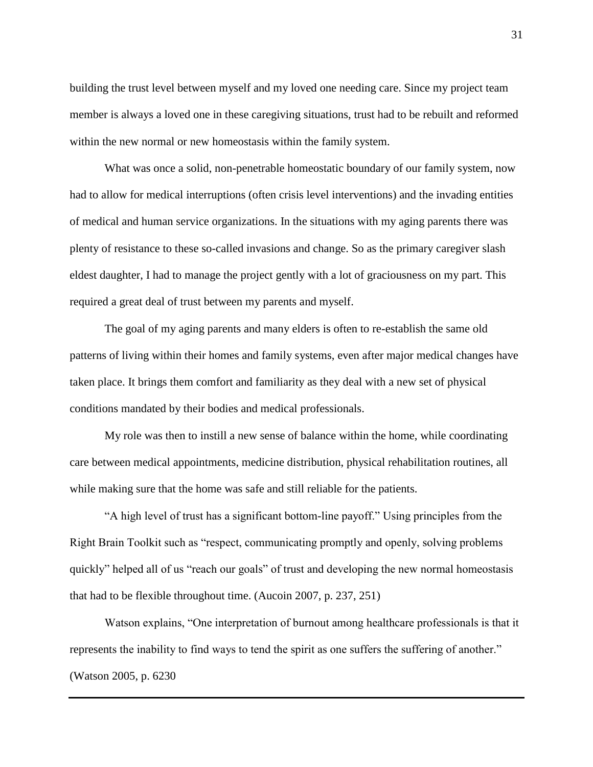building the trust level between myself and my loved one needing care. Since my project team member is always a loved one in these caregiving situations, trust had to be rebuilt and reformed within the new normal or new homeostasis within the family system.

What was once a solid, non-penetrable homeostatic boundary of our family system, now had to allow for medical interruptions (often crisis level interventions) and the invading entities of medical and human service organizations. In the situations with my aging parents there was plenty of resistance to these so-called invasions and change. So as the primary caregiver slash eldest daughter, I had to manage the project gently with a lot of graciousness on my part. This required a great deal of trust between my parents and myself.

The goal of my aging parents and many elders is often to re-establish the same old patterns of living within their homes and family systems, even after major medical changes have taken place. It brings them comfort and familiarity as they deal with a new set of physical conditions mandated by their bodies and medical professionals.

My role was then to instill a new sense of balance within the home, while coordinating care between medical appointments, medicine distribution, physical rehabilitation routines, all while making sure that the home was safe and still reliable for the patients.

"A high level of trust has a significant bottom-line payoff." Using principles from the Right Brain Toolkit such as "respect, communicating promptly and openly, solving problems quickly" helped all of us "reach our goals" of trust and developing the new normal homeostasis that had to be flexible throughout time. (Aucoin 2007, p. 237, 251)

Watson explains, "One interpretation of burnout among healthcare professionals is that it represents the inability to find ways to tend the spirit as one suffers the suffering of another." (Watson 2005, p. 6230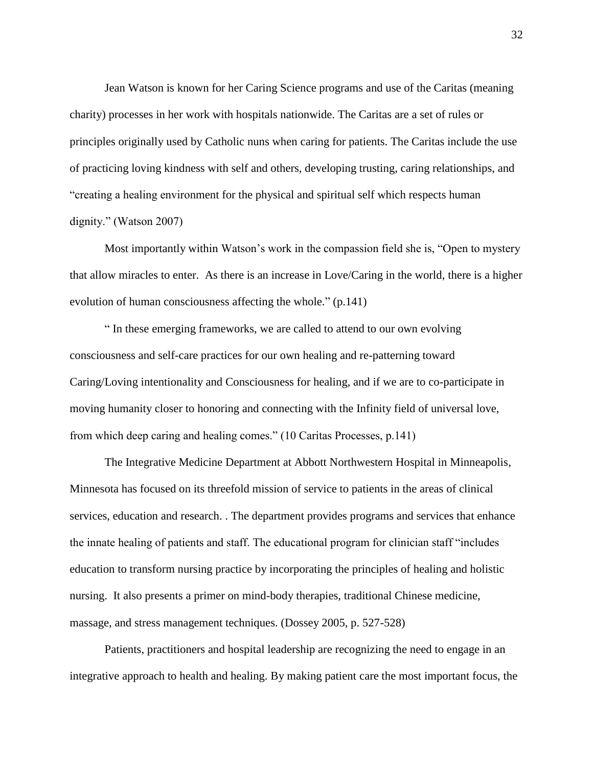Jean Watson is known for her Caring Science programs and use of the Caritas (meaning charity) processes in her work with hospitals nationwide. The Caritas are a set of rules or principles originally used by Catholic nuns when caring for patients. The Caritas include the use of practicing loving kindness with self and others, developing trusting, caring relationships, and "creating a healing environment for the physical and spiritual self which respects human dignity." (Watson 2007)

Most importantly within Watson's work in the compassion field she is, "Open to mystery that allow miracles to enter. As there is an increase in Love/Caring in the world, there is a higher evolution of human consciousness affecting the whole." (p.141)

" In these emerging frameworks, we are called to attend to our own evolving consciousness and self-care practices for our own healing and re-patterning toward Caring/Loving intentionality and Consciousness for healing, and if we are to co-participate in moving humanity closer to honoring and connecting with the Infinity field of universal love, from which deep caring and healing comes." (10 Caritas Processes, p.141)

The Integrative Medicine Department at Abbott Northwestern Hospital in Minneapolis, Minnesota has focused on its threefold mission of service to patients in the areas of clinical services, education and research. . The department provides programs and services that enhance the innate healing of patients and staff. The educational program for clinician staff "includes education to transform nursing practice by incorporating the principles of healing and holistic nursing. It also presents a primer on mind-body therapies, traditional Chinese medicine, massage, and stress management techniques. (Dossey 2005, p. 527-528)

Patients, practitioners and hospital leadership are recognizing the need to engage in an integrative approach to health and healing. By making patient care the most important focus, the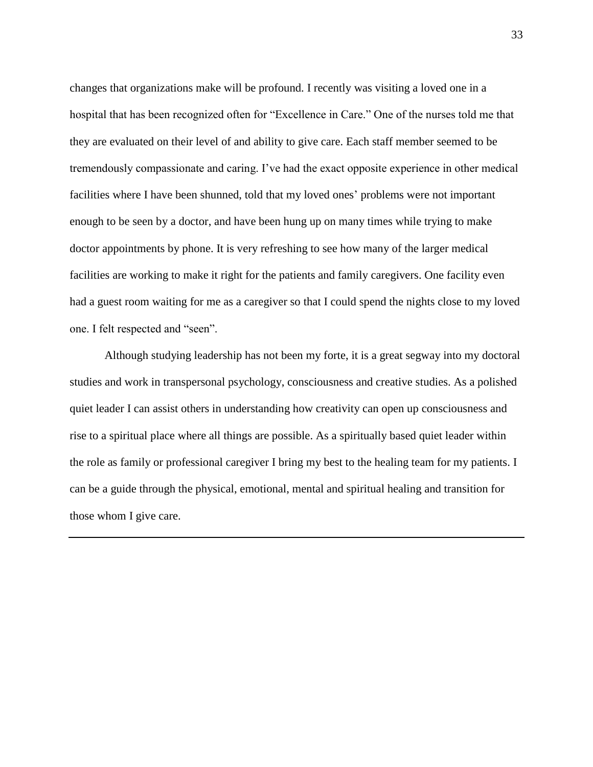changes that organizations make will be profound. I recently was visiting a loved one in a hospital that has been recognized often for "Excellence in Care." One of the nurses told me that they are evaluated on their level of and ability to give care. Each staff member seemed to be tremendously compassionate and caring. I've had the exact opposite experience in other medical facilities where I have been shunned, told that my loved ones' problems were not important enough to be seen by a doctor, and have been hung up on many times while trying to make doctor appointments by phone. It is very refreshing to see how many of the larger medical facilities are working to make it right for the patients and family caregivers. One facility even had a guest room waiting for me as a caregiver so that I could spend the nights close to my loved one. I felt respected and "seen".

Although studying leadership has not been my forte, it is a great segway into my doctoral studies and work in transpersonal psychology, consciousness and creative studies. As a polished quiet leader I can assist others in understanding how creativity can open up consciousness and rise to a spiritual place where all things are possible. As a spiritually based quiet leader within the role as family or professional caregiver I bring my best to the healing team for my patients. I can be a guide through the physical, emotional, mental and spiritual healing and transition for those whom I give care.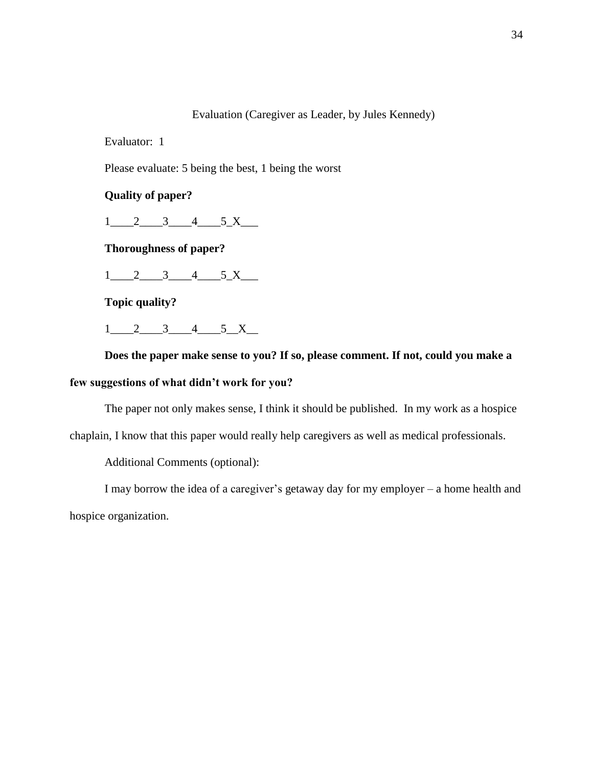# Evaluation (Caregiver as Leader, by Jules Kennedy)

Evaluator: 1

Please evaluate: 5 being the best, 1 being the worst

**Quality of paper?** 

 $1$  2 3 4 5 X

**Thoroughness of paper?**

 $1\_2\_3\_4\_5\_X\_$ 

**Topic quality?**

 $1$  2 3 4 5 X

**Does the paper make sense to you? If so, please comment. If not, could you make a few suggestions of what didn't work for you?**

The paper not only makes sense, I think it should be published. In my work as a hospice

chaplain, I know that this paper would really help caregivers as well as medical professionals.

Additional Comments (optional):

I may borrow the idea of a caregiver's getaway day for my employer – a home health and hospice organization.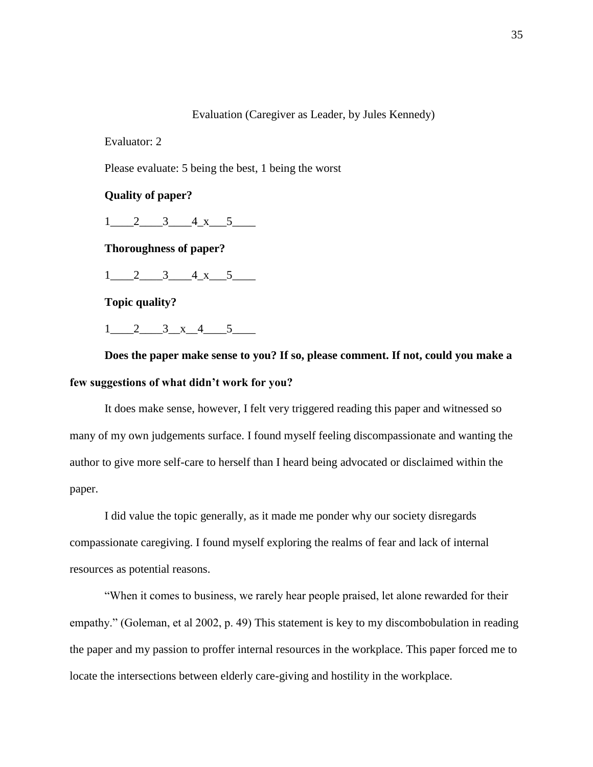# Evaluation (Caregiver as Leader, by Jules Kennedy)

Evaluator: 2

Please evaluate: 5 being the best, 1 being the worst

**Quality of paper?** 

 $1\quad 2\quad 3\quad 4\quad x\quad 5$ 

**Thoroughness of paper?**

 $1\quad 2\quad 3\quad 4\quad x\quad 5$ 

**Topic quality?**

 $1$  2 3 x 4 5

**Does the paper make sense to you? If so, please comment. If not, could you make a few suggestions of what didn't work for you?**

It does make sense, however, I felt very triggered reading this paper and witnessed so many of my own judgements surface. I found myself feeling discompassionate and wanting the author to give more self-care to herself than I heard being advocated or disclaimed within the paper.

I did value the topic generally, as it made me ponder why our society disregards compassionate caregiving. I found myself exploring the realms of fear and lack of internal resources as potential reasons.

"When it comes to business, we rarely hear people praised, let alone rewarded for their empathy." (Goleman, et al 2002, p. 49) This statement is key to my discombobulation in reading the paper and my passion to proffer internal resources in the workplace. This paper forced me to locate the intersections between elderly care-giving and hostility in the workplace.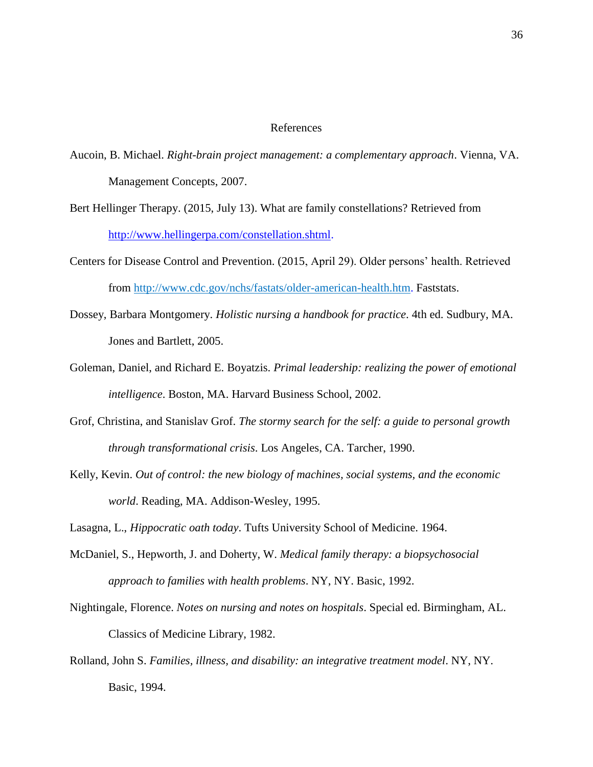### References

- Aucoin, B. Michael. *Right-brain project management: a complementary approach*. Vienna, VA. Management Concepts, 2007.
- Bert Hellinger Therapy. (2015, July 13). What are family constellations? Retrieved from [http://www.hellingerpa.com/constellation.shtml.](http://www.hellingerpa.com/constellation.shtml)
- Centers for Disease Control and Prevention. (2015, April 29). Older persons' health. Retrieved from [http://www.cdc.gov/nchs/fastats/older-american-health.htm.](http://www.cdc.gov/nchs/fastats/older-american-health.htm) Faststats.
- Dossey, Barbara Montgomery. *Holistic nursing a handbook for practice*. 4th ed. Sudbury, MA. Jones and Bartlett, 2005.
- Goleman, Daniel, and Richard E. Boyatzis. *Primal leadership: realizing the power of emotional intelligence*. Boston, MA. Harvard Business School, 2002.
- Grof, Christina, and Stanislav Grof. *The stormy search for the self: a guide to personal growth through transformational crisis*. Los Angeles, CA. Tarcher, 1990.
- Kelly, Kevin. *Out of control: the new biology of machines, social systems, and the economic world*. Reading, MA. Addison-Wesley, 1995.

Lasagna, L., *Hippocratic oath today*. Tufts University School of Medicine. 1964.

- McDaniel, S., Hepworth, J. and Doherty, W. *Medical family therapy: a biopsychosocial approach to families with health problems*. NY, NY. Basic, 1992.
- Nightingale, Florence. *Notes on nursing and notes on hospitals*. Special ed. Birmingham, AL. Classics of Medicine Library, 1982.
- Rolland, John S. *Families, illness, and disability: an integrative treatment model*. NY, NY. Basic, 1994.